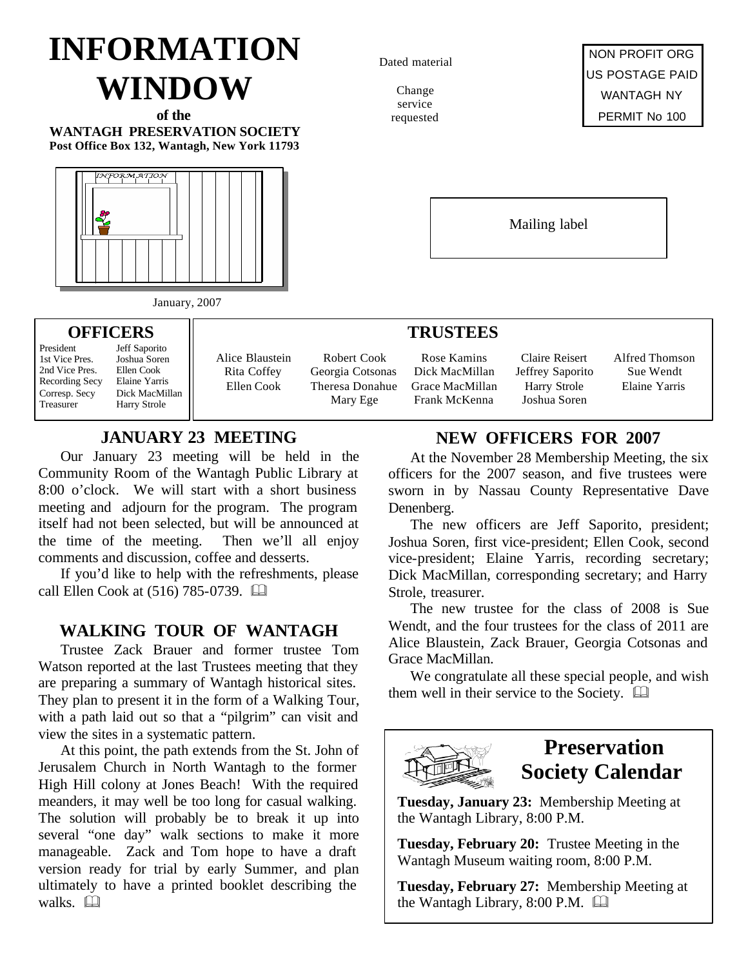# **INFORMATION WINDOW**

**of the WANTAGH PRESERVATION SOCIETY Post Office Box 132, Wantagh, New York 11793**



January, 2007

#### **OFFICERS**

President Jeff Saporito<br>1st Vice Pres. Joshua Soren 2nd Vice Pres. Ellen Cook<br>Recording Secv Elaine Yarris Recording Secy

Joshua Soren<br>Ellen Cook Corresp. Secy Dick MacMillan Harry Strole

Alice Blaustein Rita Coffey Ellen Cook

Robert Cook Georgia Cotsonas Theresa Donahue Mary Ege

### **JANUARY 23 MEETING**

Our January 23 meeting will be held in the Community Room of the Wantagh Public Library at 8:00 o'clock. We will start with a short business meeting and adjourn for the program. The program itself had not been selected, but will be announced at the time of the meeting. Then we'll all enjoy comments and discussion, coffee and desserts.

If you'd like to help with the refreshments, please call Ellen Cook at (516) 785-0739. **and** 

### **WALKING TOUR OF WANTAGH**

Trustee Zack Brauer and former trustee Tom Watson reported at the last Trustees meeting that they are preparing a summary of Wantagh historical sites. They plan to present it in the form of a Walking Tour, with a path laid out so that a "pilgrim" can visit and view the sites in a systematic pattern.

At this point, the path extends from the St. John of Jerusalem Church in North Wantagh to the former High Hill colony at Jones Beach! With the required meanders, it may well be too long for casual walking. The solution will probably be to break it up into several "one day" walk sections to make it more manageable. Zack and Tom hope to have a draft version ready for trial by early Summer, and plan ultimately to have a printed booklet describing the walks.  $\Box$ 

Dated material

Change service requested



Mailing label

### **TRUSTEES**

Rose Kamins Dick MacMillan Grace MacMillan Frank McKenna

Claire Reisert Jeffrey Saporito Harry Strole Joshua Soren

Alfred Thomson Sue Wendt Elaine Yarris

### **NEW OFFICERS FOR 2007**

At the November 28 Membership Meeting, the six officers for the 2007 season, and five trustees were sworn in by Nassau County Representative Dave Denenberg.

The new officers are Jeff Saporito, president; Joshua Soren, first vice-president; Ellen Cook, second vice-president; Elaine Yarris, recording secretary; Dick MacMillan, corresponding secretary; and Harry Strole, treasurer.

The new trustee for the class of 2008 is Sue Wendt, and the four trustees for the class of 2011 are Alice Blaustein, Zack Brauer, Georgia Cotsonas and Grace MacMillan.

We congratulate all these special people, and wish them well in their service to the Society.  $\Box$ 



### **Preservation Society Calendar**

**Tuesday, January 23:** Membership Meeting at the Wantagh Library, 8:00 P.M.

**Tuesday, February 20:** Trustee Meeting in the Wantagh Museum waiting room, 8:00 P.M.

**Tuesday, February 27:** Membership Meeting at the Wantagh Library,  $8:00$  P.M.  $\Box$